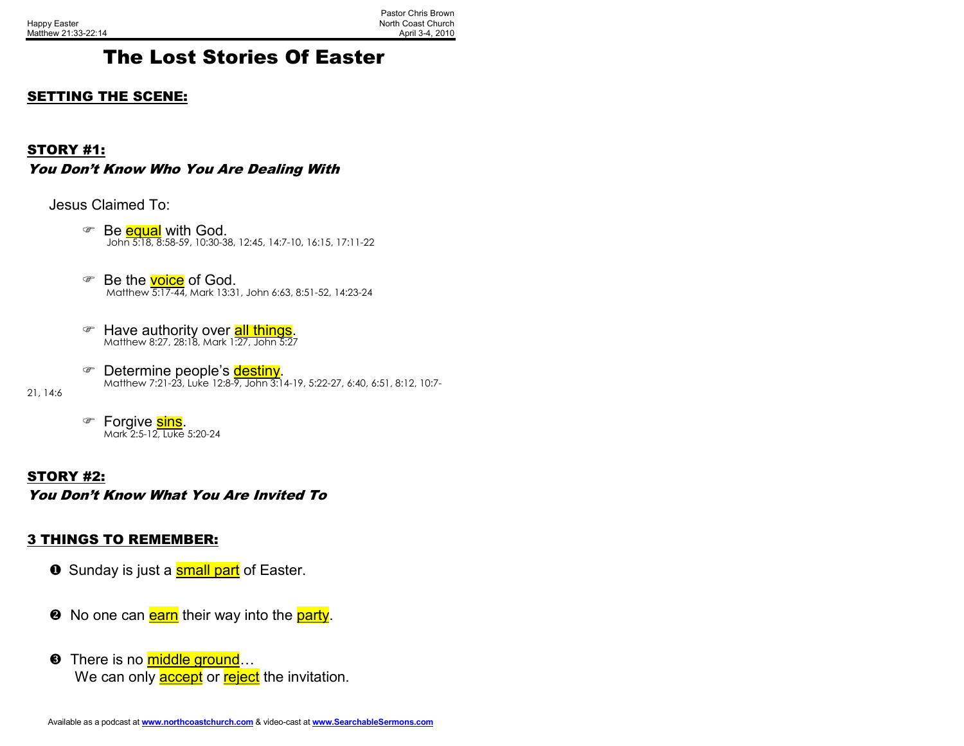## The Lost Stories Of Easter

#### SETTING THE SCENE:

#### STORY #1:

You Don't Know Who You Are Dealing With

Jesus Claimed To:

- **Be equal with God.** John 5:18, 8:58-59, 10:30-38, 12:45, 14:7-10, 16:15, 17:11-22
- **Be the voice of God.** Matthew 5:17-44, Mark 13:31, John 6:63, 8:51-52, 14:23-24
- **F Have authority over <mark>all things</mark>.**<br>Matthew 8:27, 28:18, Mark 1:27, John 5:27
- **☞ Determine people's <mark>destiny</mark>.**<br>Matthew 7:21-23, Luke 12:8-9, John 3:14-19, 5:22-27, 6:40, 6:51, 8:12, 10:7-

21, 14:6

Forgive sins. Mark 2:5-12, Luke 5:20-24

STORY #2:You Don't Know What You Are Invited To

#### 3 THINGS TO REMEMBER:

- $\bullet\,$  Sunday is just a <mark>small part</mark> of Easter.
- ❷ No one can <mark>earn</mark> their way into the <mark>party</mark>.
- **O** There is no middle ground... We can only **accept** or reject the invitation.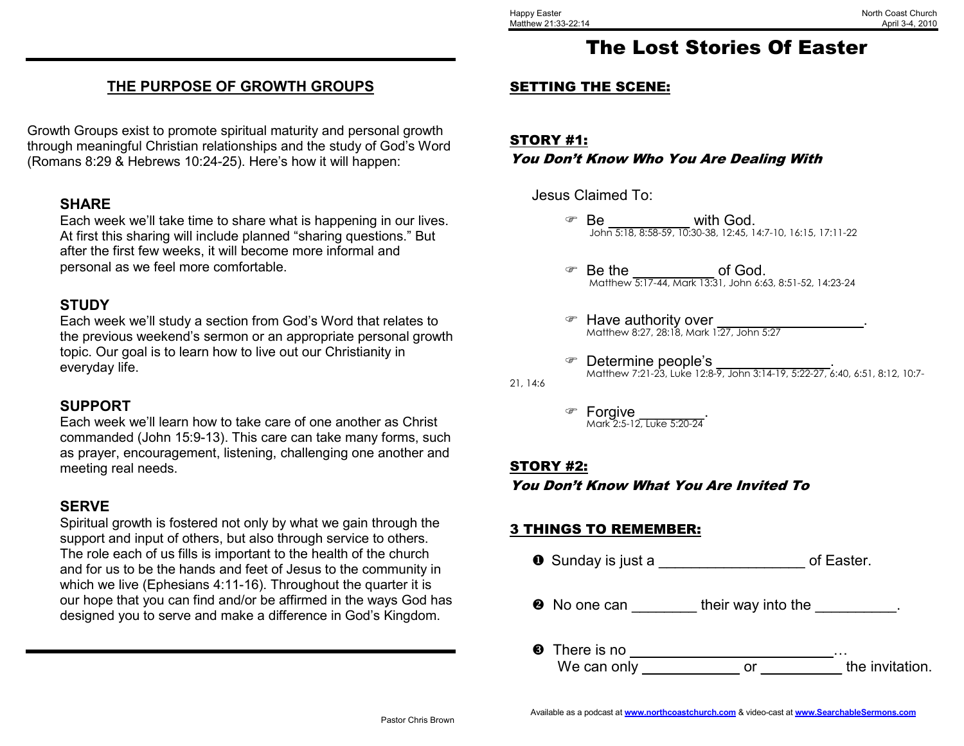## THE PURPOSE OF GROWTH GROUPS

Growth Groups exist to promote spiritual maturity and personal growth through meaningful Christian relationships and the study of God's Word (Romans 8:29 & Hebrews 10:24-25). Here's how it will happen:

#### SHARE

 Each week we'll take time to share what is happening in our lives. At first this sharing will include planned "sharing questions." But after the first few weeks, it will become more informal and personal as we feel more comfortable.

## **STUDY**

 Each week we'll study a section from God's Word that relates to the previous weekend's sermon or an appropriate personal growth topic. Our goal is to learn how to live out our Christianity in everyday life.

#### SUPPORT

 Each week we'll learn how to take care of one another as Christ commanded (John 15:9-13). This care can take many forms, such as prayer, encouragement, listening, challenging one another and meeting real needs.

### **SERVE**

 Spiritual growth is fostered not only by what we gain through the support and input of others, but also through service to others. The role each of us fills is important to the health of the church and for us to be the hands and feet of Jesus to the community in which we live (Ephesians 4:11-16). Throughout the quarter it is our hope that you can find and/or be affirmed in the ways God has designed you to serve and make a difference in God's Kingdom.

# The Lost Stories Of Easter

### SETTING THE SCENE:

STORY #1:You Don't Know Who You Are Dealing With

Jesus Claimed To:

- $\textcircled{r}$  Be with God. John 5:18, 8:58-59, 10:30-38, 12:45, 14:7-10, 16:15, 17:11-22
- **Be the definition of God.** Matthew 5:17-44, Mark 13:31, John 6:63, 8:51-52, 14:23-24
- Have authority over Matthew 8:27, 28:18, Mark 1:27, John 5:27
- **The Expensive People's and Septermine people's and Septermine people's**<br>Matthew 7:21-23, Luke 12:8-9, John 3:14-19, 5:22-27, 6:40, 6:51, 8:12, 10:7-
- ☞ Forgive Mark 2:5-12, Luke 5:20-24

#### STORY #2:

21, 14:6

You Don't Know What You Are Invited To

### 3 THINGS TO REMEMBER:

 $\bullet$  Sunday is just a \_\_\_\_\_\_\_\_\_\_\_\_\_\_\_\_\_\_\_\_\_ of Easter.

**•** No one can \_\_\_\_\_\_\_\_\_ their way into the \_\_\_\_\_\_\_\_\_\_.

 There is no \_\_\_\_\_\_\_\_\_\_\_\_\_\_\_\_\_\_\_\_\_\_\_\_\_… the invitation. We can only \_\_\_\_\_\_\_\_\_\_\_\_\_\_\_ or \_\_\_\_\_\_\_\_\_\_\_ the invitation.